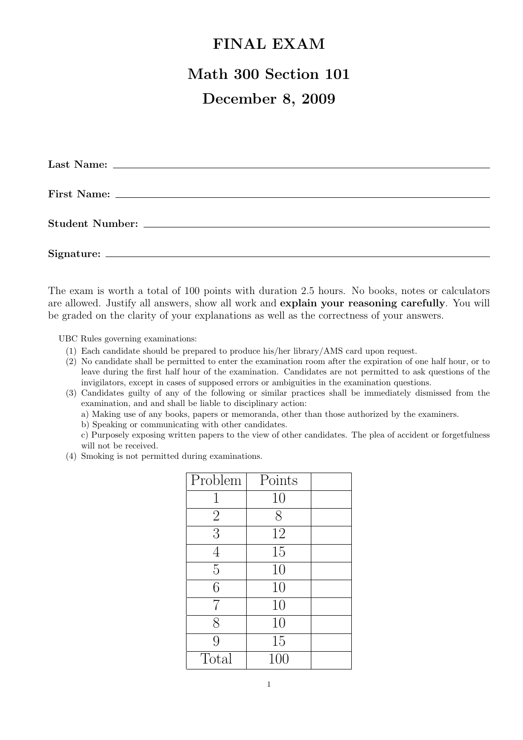## FINAL EXAM

## Math 300 Section 101

## December 8, 2009

The exam is worth a total of 100 points with duration 2.5 hours. No books, notes or calculators are allowed. Justify all answers, show all work and explain your reasoning carefully. You will be graded on the clarity of your explanations as well as the correctness of your answers.

UBC Rules governing examinations:

- (1) Each candidate should be prepared to produce his/her library/AMS card upon request.
- (2) No candidate shall be permitted to enter the examination room after the expiration of one half hour, or to leave during the first half hour of the examination. Candidates are not permitted to ask questions of the invigilators, except in cases of supposed errors or ambiguities in the examination questions.
- (3) Candidates guilty of any of the following or similar practices shall be immediately dismissed from the examination, and and shall be liable to disciplinary action:

a) Making use of any books, papers or memoranda, other than those authorized by the examiners.

b) Speaking or communicating with other candidates.

c) Purposely exposing written papers to the view of other candidates. The plea of accident or forgetfulness will not be received.

(4) Smoking is not permitted during examinations.

| Problem        | Points |  |
|----------------|--------|--|
| 1              | 10     |  |
| $\overline{2}$ | 8      |  |
| $\overline{3}$ | 12     |  |
| $\overline{4}$ | 15     |  |
| $\overline{5}$ | 10     |  |
| 6              | 10     |  |
| 7              | 10     |  |
| 8              | 10     |  |
| 9              | 15     |  |
| Total          | 100    |  |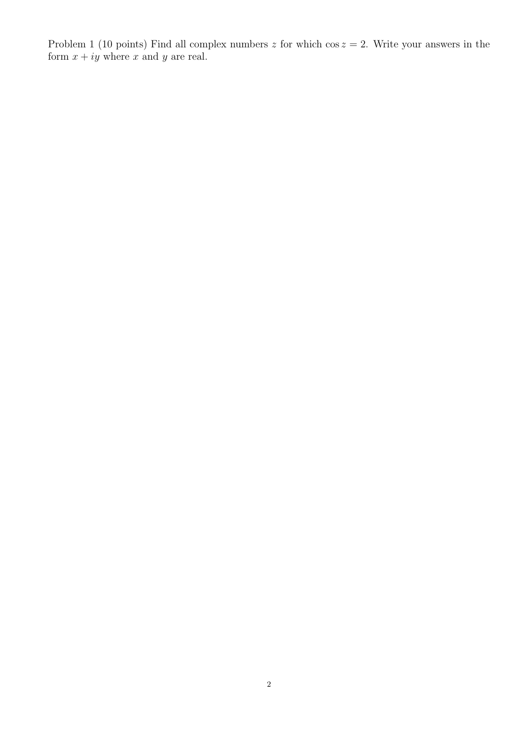Problem 1 (10 points) Find all complex numbers z for which  $\cos z = 2$ . Write your answers in the form  $x + iy$  where x and y are real.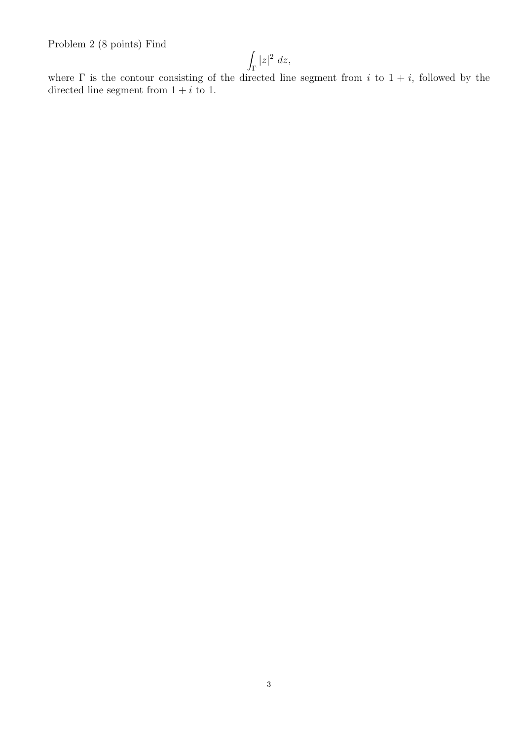Problem 2 (8 points) Find

$$
\int_{\Gamma}|z|^2\;dz,
$$

where  $\Gamma$  is the contour consisting of the directed line segment from i to  $1 + i$ , followed by the directed line segment from  $1 + i$  to 1.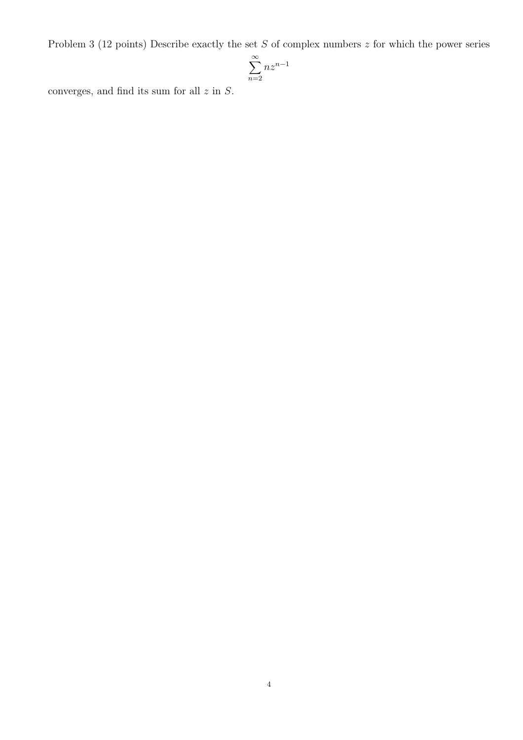Problem 3 (12 points) Describe exactly the set  $S$  of complex numbers  $z$  for which the power series

$$
\sum_{n=2}^{\infty}nz^{n-1}
$$

converges, and find its sum for all  $z$  in  $S$ .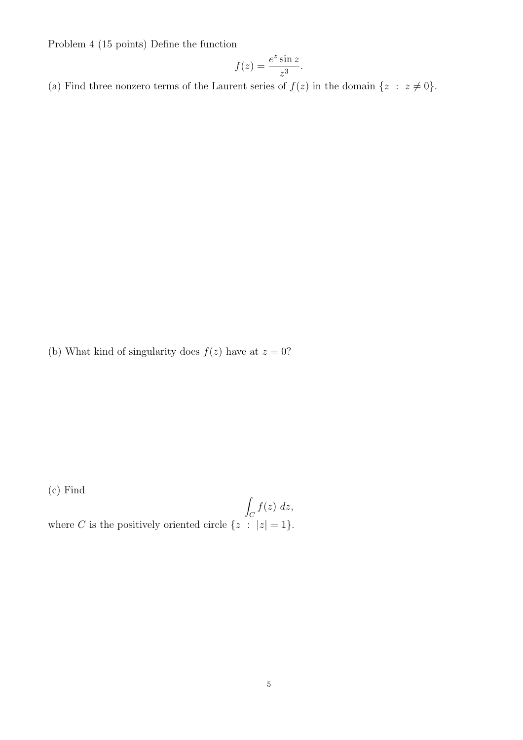Problem 4 (15 points) Define the function

$$
f(z) = \frac{e^z \sin z}{z^3}.
$$

(a) Find three nonzero terms of the Laurent series of  $f(z)$  in the domain  $\{z \; : \; z \neq 0\}$ .

(b) What kind of singularity does  $f(z)$  have at  $z = 0$ ?

(c) Find

Z  $\int_C f(z) dz$ , where C is the positively oriented circle  $\{z : |z| = 1\}.$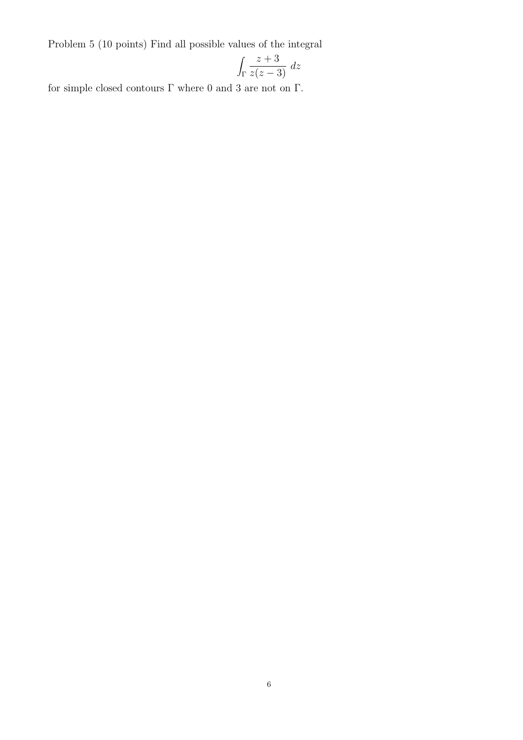Problem 5 (10 points) Find all possible values of the integral

$$
\int_{\Gamma} \frac{z+3}{z(z-3)} \ dz
$$

for simple closed contours  $\Gamma$  where  $0$  and  $3$  are not on  $\Gamma.$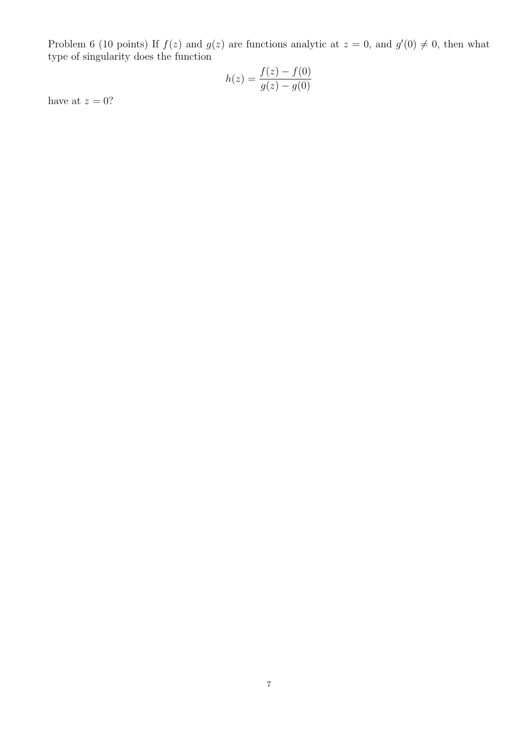Problem 6 (10 points) If  $f(z)$  and  $g(z)$  are functions analytic at  $z = 0$ , and  $g'(0) \neq 0$ , then what type of singularity does the function

$$
h(z) = \frac{f(z) - f(0)}{g(z) - g(0)}
$$

have at  $z = 0$ ?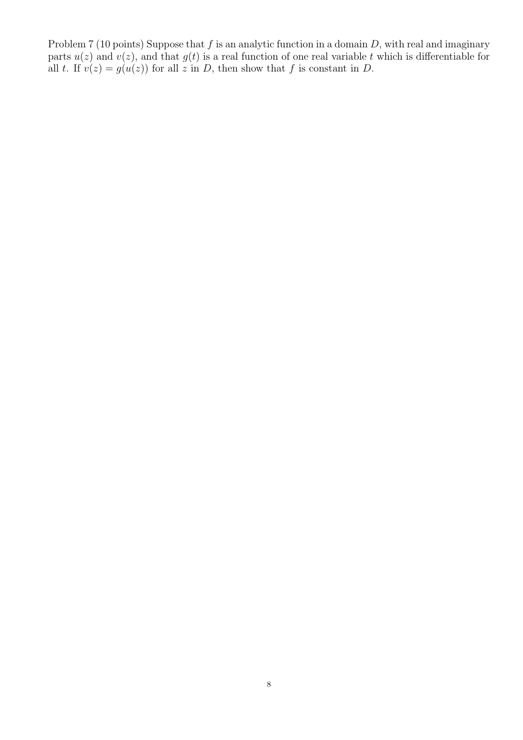Problem 7 (10 points) Suppose that  $f$  is an analytic function in a domain  $D$ , with real and imaginary parts  $u(z)$  and  $v(z)$ , and that  $g(t)$  is a real function of one real variable t which is differentiable for all t. If  $v(z) = g(u(z))$  for all z in D, then show that f is constant in D.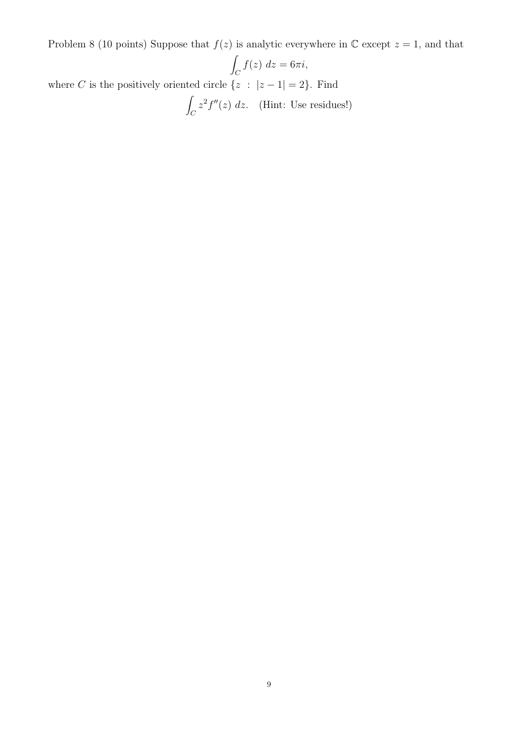Problem 8 (10 points) Suppose that  $f(z)$  is analytic everywhere in  $\mathbb C$  except  $z = 1$ , and that

$$
\int_C f(z) dz = 6\pi i,
$$
  
where *C* is the positively oriented circle  $\{z : |z - 1| = 2\}$ . Find  

$$
\int_C z^2 f''(z) dz.
$$
 (Hint: Use residues!)